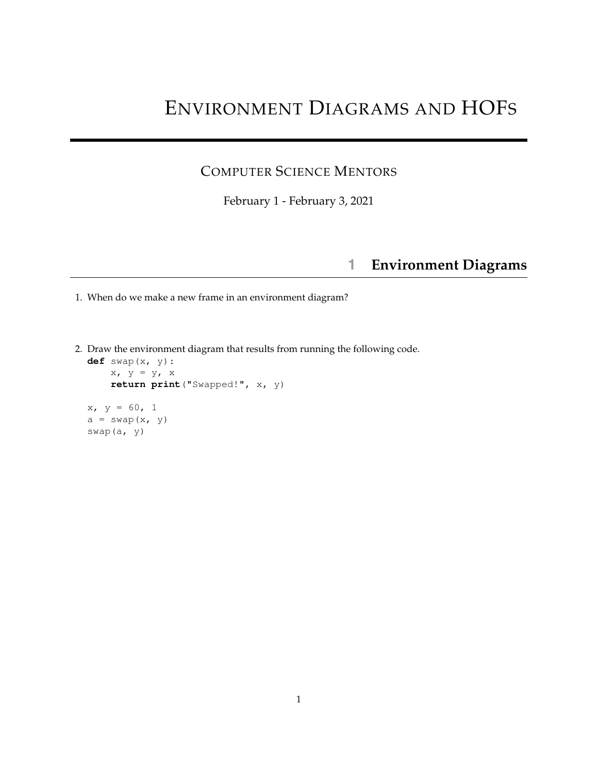# ENVIRONMENT DIAGRAMS AND HOFS

#### COMPUTER SCIENCE MENTORS

February 1 - February 3, 2021

### **1 Environment Diagrams**

- 1. When do we make a new frame in an environment diagram?
- 2. Draw the environment diagram that results from running the following code.

```
def swap(x, y):
    x, y = y, xreturn print("Swapped!", x, y)
x, y = 60, 1a = swap(x, y)swap(a, y)
```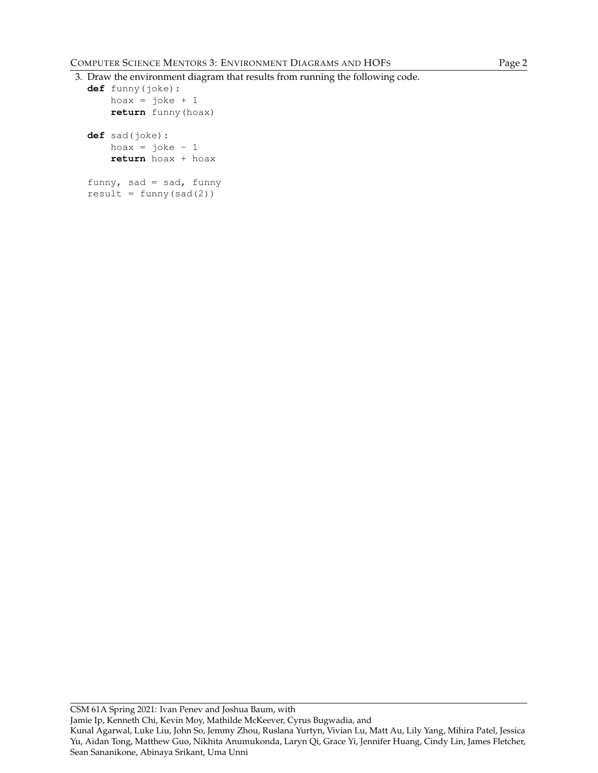```
3. Draw the environment diagram that results from running the following code.
```

```
def funny(joke):
    hoax = joke + 1return funny(hoax)
def sad(joke):
    hoax = joke - 1return hoax + hoax
funny, sad = sad, funny
result = funny(sad(2))
```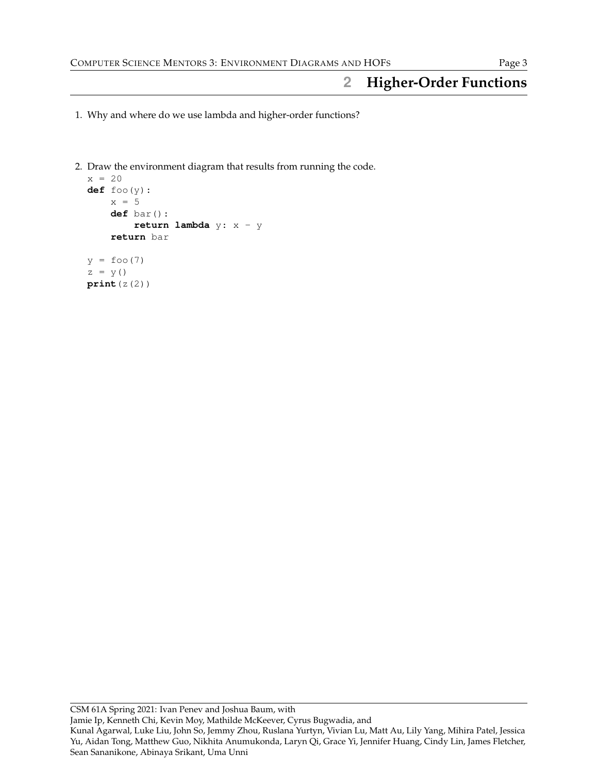## **2 Higher-Order Functions**

- 1. Why and where do we use lambda and higher-order functions?
- 2. Draw the environment diagram that results from running the code.

```
x = 20def foo(y):
    x = 5def bar():
         return lambda y: x - y
    return bar
y = f \circ \circ (7)z = y()
```
**print**(z(2))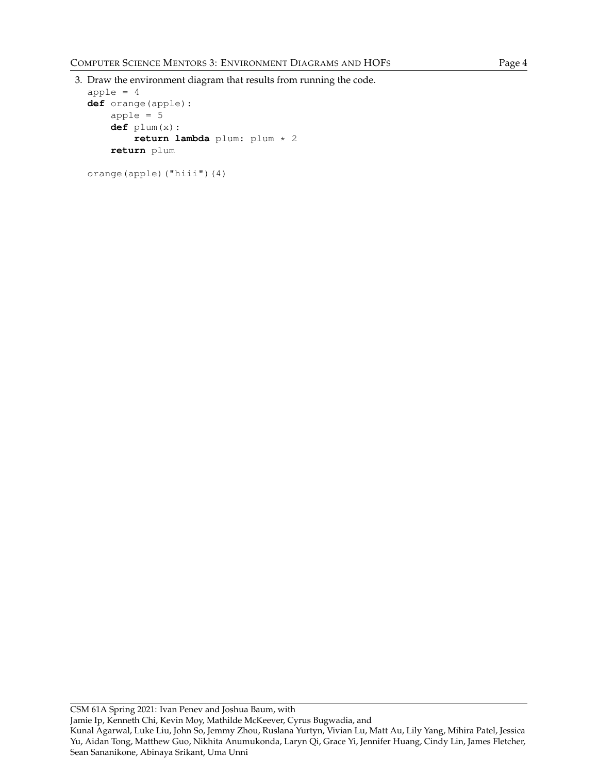```
3. Draw the environment diagram that results from running the code.
  apple = 4
  def orange(apple):
      apple = 5def plum(x):
           return lambda plum: plum * 2
      return plum
```

```
orange(apple)("hiii")(4)
```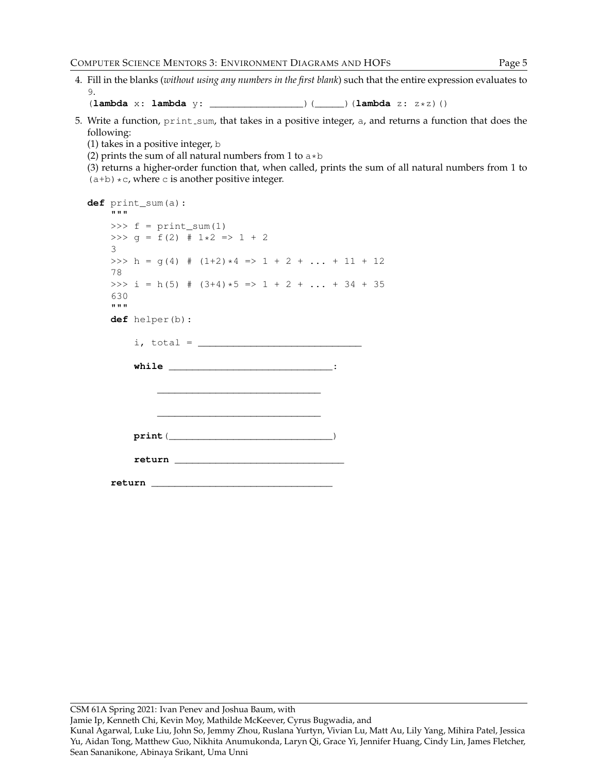4. Fill in the blanks (*without using any numbers in the first blank*) such that the entire expression evaluates to 9.

(**lambda** x: **lambda** y: \_\_\_\_\_\_\_\_\_\_\_\_\_\_\_\_)(\_\_\_\_\_)(**lambda** z: z\*z)()

- 5. Write a function, print sum, that takes in a positive integer, a, and returns a function that does the following:
	- (1) takes in a positive integer, b

(2) prints the sum of all natural numbers from 1 to  $a * b$ 

(3) returns a higher-order function that, when called, prints the sum of all natural numbers from 1 to  $(a+b)*c$ , where c is another positive integer.

```
def print_sum(a):
    """
   \gg f = print_sum(1)
   >>> q = f(2) # 1*2 => 1 + 23
   >>> h = g(4) # (1+2)*4 => 1 + 2 + ... + 11 + 12
    78
   >>> i = h(5) # (3+4)*5 => 1 + 2 + ... + 34 + 35
    630
    """
   def helper(b):
        i, total = \_while ___________________________:
            ____________________________
            ____________________________
       print(____________________________)
        return _____________________________
   return _______________________________
```